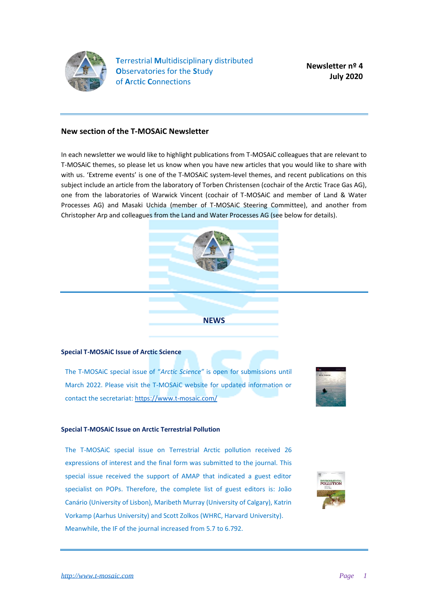

**T**errestrial **M**ultidisciplinary distributed **O**bservatories for the **S**tudy of **A**rct**i**c **C**onnections

**Newsletter nº 4 July 2020**

## **New section of the T-MOSAiC Newsletter**

In each newsletter we would like to highlight publications from T-MOSAiC colleagues that are relevant to T-MOSAiC themes, so please let us know when you have new articles that you would like to share with with us. 'Extreme events' is one of the T-MOSAiC system-level themes, and recent publications on this subject include an article from the laboratory of Torben Christensen (cochair of the Arctic Trace Gas AG), one from the laboratories of Warwick Vincent (cochair of T-MOSAiC and member of Land & Water Processes AG) and Masaki Uchida (member of T-MOSAiC Steering Committee), and another from Christopher Arp and colleagues from the Land and Water Processes AG (see below for details).



**NEWS**

### **Special T-MOSAiC Issue of Arctic Science**

The T-MOSAiC special issue of "*Arctic Science"* is open for submissions until March 2022. Please visit the T-MOSAiC website for updated information or contact the secretariat[: https://www.t-mosaic.com/](https://www.t-mosaic.com/)



#### **Special T-MOSAiC Issue on Arctic Terrestrial Pollution**

The T-MOSAiC special issue on Terrestrial Arctic pollution received 26 expressions of interest and the final form was submitted to the journal. This special issue received the support of AMAP that indicated a guest editor specialist on POPs. Therefore, the complete list of guest editors is: João Canário (University of Lisbon), Maribeth Murray (University of Calgary), Katrin Vorkamp (Aarhus University) and Scott Zolkos (WHRC, Harvard University). Meanwhile, the IF of the journal increased from 5.7 to 6.792.

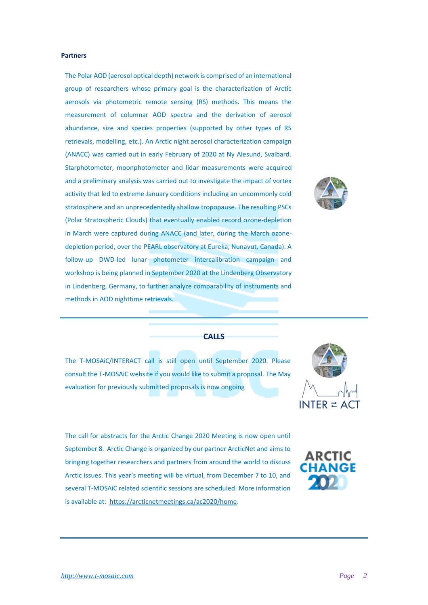## **Partners**

The Polar AOD (aerosol optical depth) network is comprised of an international group of researchers whose primary goal is the characterization of Arctic aerosols via photometric remote sensing (RS) methods. This means the measurement of columnar AOD spectra and the derivation of aerosol abundance, size and species properties (supported by other types of RS retrievals, modelling, etc.). An Arctic night aerosol characterization campaign (ANACC) was carried out in early February of 2020 at Ny Alesund, Svalbard. Starphotometer, moonphotometer and lidar measurements were acquired and a preliminary analysis was carried out to investigate the impact of vortex activity that led to extreme January conditions including an uncommonly cold stratosphere and an unprecedentedly shallow tropopause. The resulting PSCs (Polar Stratospheric Clouds) that eventually enabled record ozone-depletion in March were captured during ANACC (and later, during the March ozonedepletion period, over the PEARL observatory at Eureka, Nunavut, Canada). A follow-up DWD-led lunar photometer intercalibration campaign and workshop is being planned in September 2020 at the Lindenberg Observatory in Lindenberg, Germany, to further analyze comparability of instruments and methods in AOD nighttime retrievals.



#### **CALLS**

The T-MOSAiC/INTERACT call is still open until September 2020. Please consult the T-MOSAiC website if you would like to submit a proposal. The May evaluation for previously submitted proposals is now ongoing



The call for abstracts for the Arctic Change 2020 Meeting is now open until September 8. Arctic Change is organized by our partner ArcticNet and aims to bringing together researchers and partners from around the world to discuss Arctic issues. This year's meeting will be virtual, from December 7 to 10, and several T-MOSAiC related scientific sessions are scheduled. More information is available at: [https://arcticnetmeetings.ca/ac2020/home.](https://arcticnetmeetings.ca/ac2020/home)